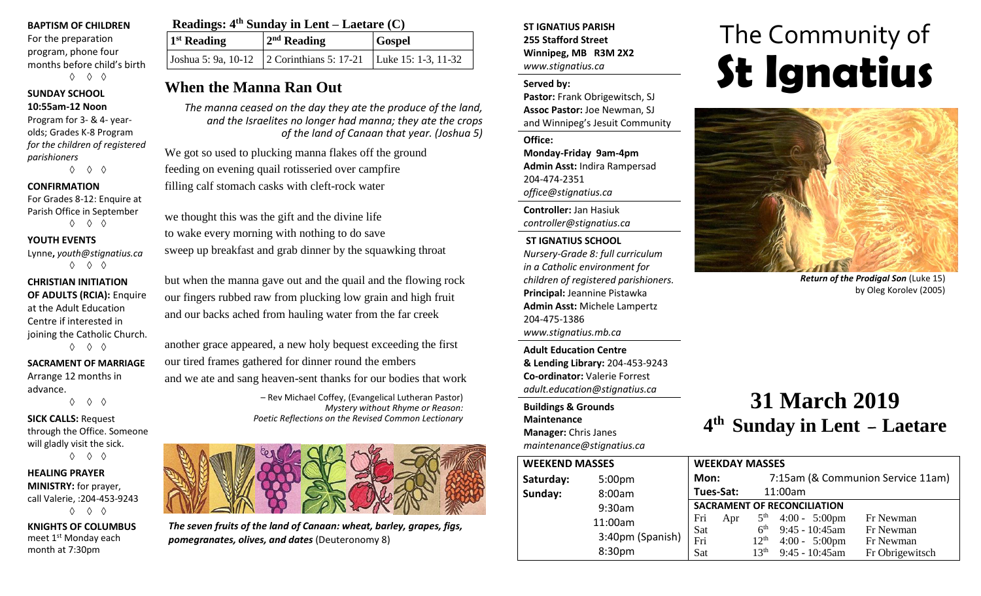#### **BAPTISM OF CHILDREN**

For the preparation program, phone four months before child's birth ◊ ◊ ◊

#### **SUNDAY SCHOOL 10:55am-12 Noon**

Program for 3- & 4- yearolds; Grades K-8 Program *for the children of registered parishioners* ◊ ◊ ◊

**CONFIRMATION**

For Grades 8-12: Enquire at Parish Office in September ◊ ◊ ◊

#### **YOUTH EVENTS**

Lynne**,** *youth@stignatius.ca* ◊ ◊ ◊

#### **CHRISTIAN INITIATION OF ADULTS (RCIA):** Enquire at the Adult Education Centre if interested in joining the Catholic Church. ◊ ◊ ◊

**SACRAMENT OF MARRIAGE**

Arrange 12 months in advance.

◊ ◊ ◊

#### **SICK CALLS:** Request through the Office. Someone will gladly visit the sick. ◊ ◊ ◊

**HEALING PRAYER MINISTRY:** for prayer, call Valerie, :204-453-9243 ◊ ◊ ◊

**KNIGHTS OF COLUMBUS** meet 1st Monday each month at 7:30pm

| Readings: $4th$ Sunday in Lent – Laetare (C) |                                                                |               |  |  |
|----------------------------------------------|----------------------------------------------------------------|---------------|--|--|
| 1 <sup>st</sup> Reading                      | $2nd$ Reading                                                  | <b>Gospel</b> |  |  |
|                                              | Joshua 5: 9a, 10-12 2 Corinthians 5: 17-21 Luke 15: 1-3, 11-32 |               |  |  |

## **When the Manna Ran Out**

*The manna ceased on the day they ate the produce of the land, and the Israelites no longer had manna; they ate the crops of the land of Canaan that year. (Joshua 5)*

We got so used to plucking manna flakes off the ground feeding on evening quail rotisseried over campfire filling calf stomach casks with cleft-rock water

we thought this was the gift and the divine life to wake every morning with nothing to do save sweep up breakfast and grab dinner by the squawking throat

but when the manna gave out and the quail and the flowing rock our fingers rubbed raw from plucking low grain and high fruit and our backs ached from hauling water from the far creek

another grace appeared, a new holy bequest exceeding the first our tired frames gathered for dinner round the embers and we ate and sang heaven-sent thanks for our bodies that work

> – Rev Michael Coffey, (Evangelical Lutheran Pastor) *Mystery without Rhyme or Reason: Poetic Reflections on the Revised Common Lectionary*



*The seven fruits of the land of Canaan: wheat, barley, grapes, figs, pomegranates, olives, and dates* (Deuteronomy 8)

**ST IGNATIUS PARISH 255 Stafford Street Winnipeg, MB R3M 2X2** *www.stignatius.ca*

#### **Served by:**

**Pastor:** Frank Obrigewitsch, SJ **Assoc Pastor:** Joe Newman, SJ and Winnipeg's Jesuit Community

**Office: Monday-Friday 9am-4pm Admin Asst:** Indira Rampersad 204-474-2351 *office@stignatius.ca*

**Controller:** Jan Hasiuk *controller@stignatius.ca*

#### **ST IGNATIUS SCHOOL**

*Nursery-Grade 8: full curriculum in a Catholic environment for children of registered parishioners.* **Principal:** Jeannine Pistawka **Admin Asst:** Michele Lampertz 204-475-1386 *www.stignatius.mb.ca*

**Adult Education Centre & Lending Library:** 204-453-9243 **Co-ordinator:** Valerie Forrest *adult.education@stignatius.ca*

**Buildings & Grounds Maintenance**

**Manager:** Chris Janes *maintenance@stignatius.ca*

# The Community of **St Ignatius**



*Return of the Prodigal Son* (Luke 15) by Oleg Korolev (2005)

# **31 March 2019 4 th Sunday in Lent – Laetare**

|     |                                    |                   |                 | 7:15am (& Communion Service 11am)                                                                           |
|-----|------------------------------------|-------------------|-----------------|-------------------------------------------------------------------------------------------------------------|
|     |                                    |                   |                 |                                                                                                             |
|     | <b>SACRAMENT OF RECONCILIATION</b> |                   |                 |                                                                                                             |
| Fri | Apr                                | 5 <sup>th</sup>   |                 | Fr Newman                                                                                                   |
|     |                                    |                   |                 | Fr Newman                                                                                                   |
|     |                                    | $12^{\text{th}}$  |                 | Fr Newman                                                                                                   |
| Sat |                                    | 13 <sup>th</sup>  | 9:45 - 10:45am  | Fr Obrigewitsch                                                                                             |
|     | Sat<br>Fri                         | Mon:<br>Tues-Sat: | 6 <sup>th</sup> | <b>WEEKDAY MASSES</b><br>11:00am<br>$4:00 - 5:00 \text{pm}$<br>$9:45 - 10:45$ am<br>$4:00 - 5:00 \text{pm}$ |